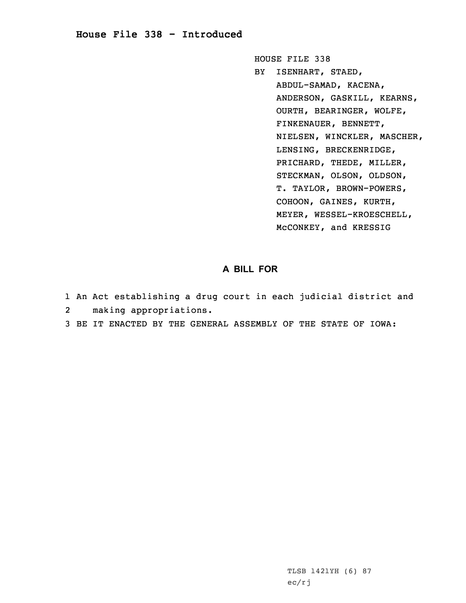## **House File 338 - Introduced**

HOUSE FILE 338

BY ISENHART, STAED, ABDUL-SAMAD, KACENA, ANDERSON, GASKILL, KEARNS, OURTH, BEARINGER, WOLFE, FINKENAUER, BENNETT, NIELSEN, WINCKLER, MASCHER, LENSING, BRECKENRIDGE, PRICHARD, THEDE, MILLER, STECKMAN, OLSON, OLDSON, T. TAYLOR, BROWN-POWERS, COHOON, GAINES, KURTH, MEYER, WESSEL-KROESCHELL, McCONKEY, and KRESSIG

## **A BILL FOR**

- 1 An Act establishing <sup>a</sup> drug court in each judicial district and
- 2making appropriations.
- 3 BE IT ENACTED BY THE GENERAL ASSEMBLY OF THE STATE OF IOWA: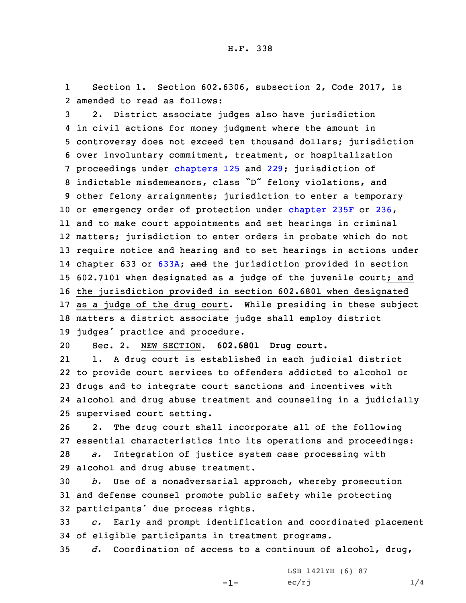1 Section 1. Section 602.6306, subsection 2, Code 2017, is 2 amended to read as follows:

 2. District associate judges also have jurisdiction in civil actions for money judgment where the amount in controversy does not exceed ten thousand dollars; jurisdiction over involuntary commitment, treatment, or hospitalization proceedings under [chapters](https://www.legis.iowa.gov/docs/code/2017/125.pdf) 125 and [229](https://www.legis.iowa.gov/docs/code/2017/229.pdf); jurisdiction of indictable misdemeanors, class "D" felony violations, and other felony arraignments; jurisdiction to enter <sup>a</sup> temporary or emergency order of protection under [chapter](https://www.legis.iowa.gov/docs/code/2017/235F.pdf) 235F or [236](https://www.legis.iowa.gov/docs/code/2017/236.pdf), and to make court appointments and set hearings in criminal matters; jurisdiction to enter orders in probate which do not require notice and hearing and to set hearings in actions under 14 chapter 633 or [633A](https://www.legis.iowa.gov/docs/code/2017/633A.pdf); and the jurisdiction provided in section 602.7101 when designated as <sup>a</sup> judge of the juvenile court; and the jurisdiction provided in section 602.6801 when designated as <sup>a</sup> judge of the drug court. While presiding in these subject matters <sup>a</sup> district associate judge shall employ district judges' practice and procedure.

20 Sec. 2. NEW SECTION. **602.6801 Drug court.**

21 1. <sup>A</sup> drug court is established in each judicial district to provide court services to offenders addicted to alcohol or drugs and to integrate court sanctions and incentives with alcohol and drug abuse treatment and counseling in <sup>a</sup> judicially supervised court setting.

 2. The drug court shall incorporate all of the following essential characteristics into its operations and proceedings: *a.* Integration of justice system case processing with alcohol and drug abuse treatment.

30 *b.* Use of <sup>a</sup> nonadversarial approach, whereby prosecution 31 and defense counsel promote public safety while protecting <sup>32</sup> participants' due process rights.

33 *c.* Early and prompt identification and coordinated placement 34 of eligible participants in treatment programs.

35 *d.* Coordination of access to <sup>a</sup> continuum of alcohol, drug,

-1-

LSB 1421YH (6) 87  $ec/rj$  1/4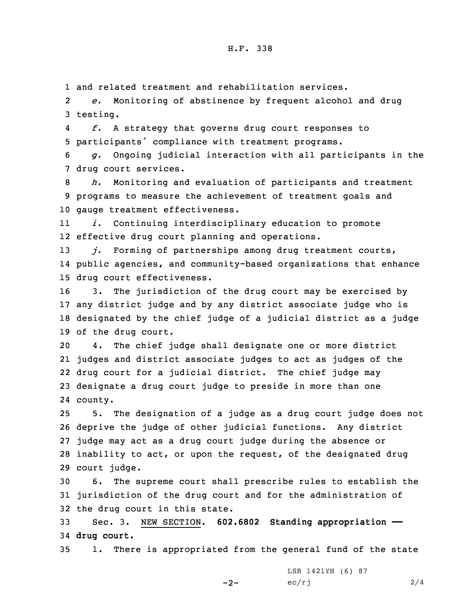## H.F. 338

1 and related treatment and rehabilitation services.

2 *e.* Monitoring of abstinence by frequent alcohol and drug 3 testing.

4 *f.* <sup>A</sup> strategy that governs drug court responses to <sup>5</sup> participants' compliance with treatment programs.

6 *g.* Ongoing judicial interaction with all participants in the 7 drug court services.

8 *h.* Monitoring and evaluation of participants and treatment 9 programs to measure the achievement of treatment goals and 10 gauge treatment effectiveness.

11 *i.* Continuing interdisciplinary education to promote 12 effective drug court planning and operations.

13 *j.* Forming of partnerships among drug treatment courts, 14 public agencies, and community-based organizations that enhance 15 drug court effectiveness.

 3. The jurisdiction of the drug court may be exercised by any district judge and by any district associate judge who is designated by the chief judge of <sup>a</sup> judicial district as <sup>a</sup> judge of the drug court.

 4. The chief judge shall designate one or more district judges and district associate judges to act as judges of the drug court for <sup>a</sup> judicial district. The chief judge may designate <sup>a</sup> drug court judge to preside in more than one 24 county.

 5. The designation of <sup>a</sup> judge as <sup>a</sup> drug court judge does not deprive the judge of other judicial functions. Any district judge may act as <sup>a</sup> drug court judge during the absence or inability to act, or upon the request, of the designated drug court judge.

30 6. The supreme court shall prescribe rules to establish the 31 jurisdiction of the drug court and for the administration of 32 the drug court in this state.

33 Sec. 3. NEW SECTION. **602.6802 Standing appropriation ——** 34 **drug court.**

35 1. There is appropriated from the general fund of the state

-2-

LSB 1421YH (6) 87  $ec/rj$  2/4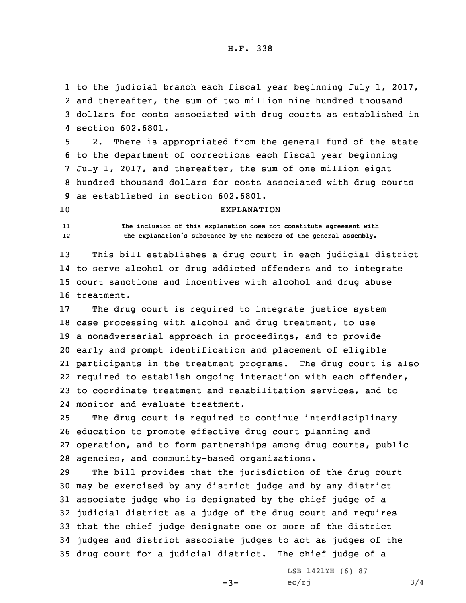to the judicial branch each fiscal year beginning July 1, 2017, and thereafter, the sum of two million nine hundred thousand dollars for costs associated with drug courts as established in section 602.6801.

 2. There is appropriated from the general fund of the state to the department of corrections each fiscal year beginning July 1, 2017, and thereafter, the sum of one million eight hundred thousand dollars for costs associated with drug courts as established in section 602.6801.

## 10 EXPLANATION

11 **The inclusion of this explanation does not constitute agreement with** 12**the explanation's substance by the members of the general assembly.**

 This bill establishes <sup>a</sup> drug court in each judicial district to serve alcohol or drug addicted offenders and to integrate court sanctions and incentives with alcohol and drug abuse treatment.

 The drug court is required to integrate justice system case processing with alcohol and drug treatment, to use <sup>a</sup> nonadversarial approach in proceedings, and to provide early and prompt identification and placement of eligible participants in the treatment programs. The drug court is also required to establish ongoing interaction with each offender, to coordinate treatment and rehabilitation services, and to monitor and evaluate treatment.

 The drug court is required to continue interdisciplinary education to promote effective drug court planning and operation, and to form partnerships among drug courts, public agencies, and community-based organizations.

 The bill provides that the jurisdiction of the drug court may be exercised by any district judge and by any district associate judge who is designated by the chief judge of <sup>a</sup> judicial district as <sup>a</sup> judge of the drug court and requires that the chief judge designate one or more of the district judges and district associate judges to act as judges of the drug court for <sup>a</sup> judicial district. The chief judge of <sup>a</sup>

 $-3-$ 

LSB 1421YH (6) 87  $ec/rj$  3/4